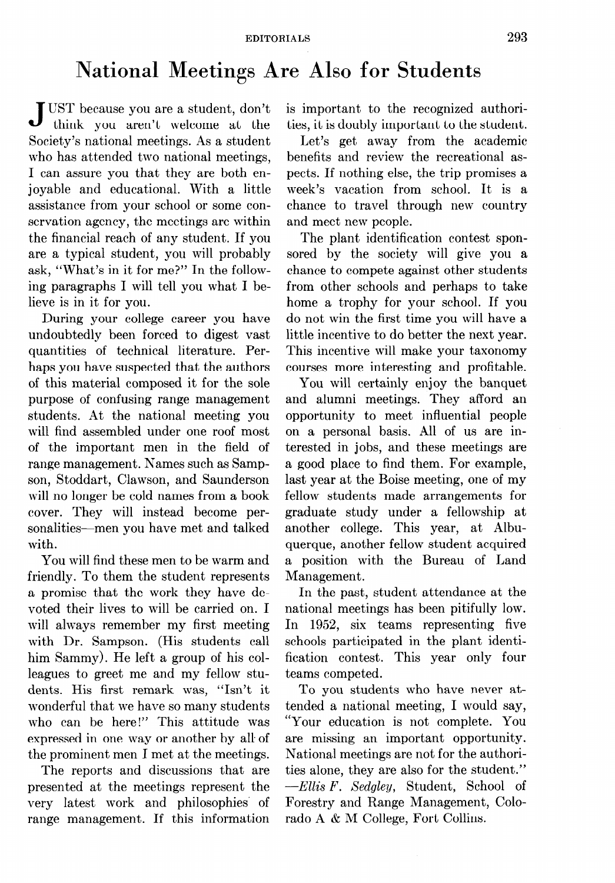## **National Meetings Are Also for Students**

JUST because you are a student, don't think you aren't welcome at the Society's national meetings. As a student who has attended two national meetings, I can assure you that they are both enjoyable and educational. With a little assistance from your school or some conservation agency, the meetings are within the financial reach of any student. If you are a typical student, you will probably ask, "What's in it for me?" In the following paragraphs I will tell you what I believe is in it for you.

During your college career you have undoubtedly been forced to digest vast quantities of technical literature. Perhaps you have suspected that the authors of this material composed it for the sole purpose of confusing range management students. At the national meeting you will find assembled under one roof most of the important men in the field of range management. Names such as Sampson, Stoddart, Clawson, and Saunderson will no longer be cold names from a book cover. They will instead become personalities-men you have met and talked with.

You will find these men to be warm and friendly. To them the student represents a promise that the work they have devoted their lives to will be carried on. I will always remember my first meeting with Dr. Sampson. (His students call him Sammy). He left a group of his colleagues to greet me and my fellow students. His first remark was, "Isn't it wonderful that we have so many students who can be here!" This attitude was expressed in one way or another by all of the prominent men I met at the meetings.

The reports and discussions that are presented at the meetings represent the very latest work and philosophies' of range management. If this information is important to the recognized authorities, it is doubly important to the student.

Let's get away from the academic benefits and review the recreational aspects. If nothing else, the trip promises a week's vacation from school. It is a chance to travel through new country and meet new people.

The plant identification contest sponsored by the society will give you a chance to compete against other students from other schools and perhaps to take home a trophy for your school. If you do not win the first time you will have a little incentive to do better the next year. This incentive will make your taxonomy courses more interesting and profitable.

You will certainly enjoy the banquet and alumni meetings. They afford an opportunity to meet influential people on a personal basis. All of us are interested in jobs, and these meetings are a good place to find them. For example, last year at the Boise meeting, one of my fellow students made arrangements for graduate study under a fellowship at another college. This year, at Albuquerque, another fellow student acquired a position with the Bureau of Land Management.

In the past, student attendance at the national meetings has been pitifully low. In 1952, six teams representing five schools participated in the plant identification contest. This year only four teams competed.

To you students who have never attended a national meeting, I would say, "Your education is not complete. You are missing an important opportunity. National meetings are not for the authorities alone, they are also for the student." *-Ellis F. Sedgley,* Student, School of Forestry and Range Management, Colorado A & M College, Fort Collins.